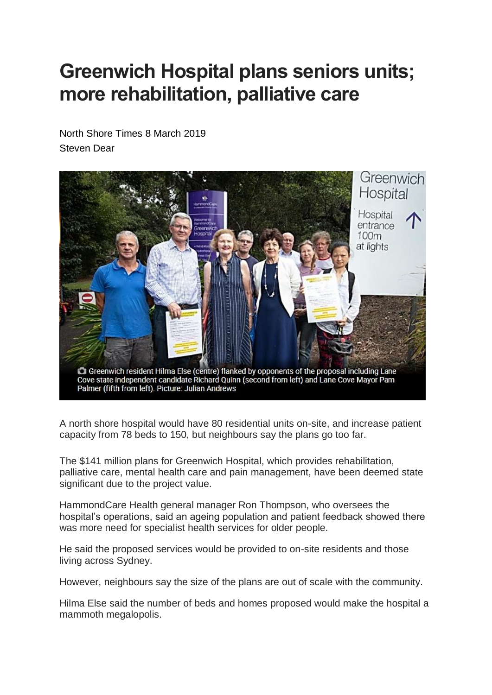## **Greenwich Hospital plans seniors units; more rehabilitation, palliative care**

North Shore Times 8 March 2019 Steven Dear



A north shore hospital would have 80 residential units on-site, and increase patient capacity from 78 beds to 150, but neighbours say the plans go too far.

The \$141 million plans for Greenwich Hospital, which provides rehabilitation, palliative care, mental health care and pain management, have been deemed state significant due to the project value.

HammondCare Health general manager Ron Thompson, who oversees the hospital's operations, said an ageing population and patient feedback showed there was more need for specialist health services for older people.

He said the proposed services would be provided to on-site residents and those living across Sydney.

However, neighbours say the size of the plans are out of scale with the community.

Hilma Else said the number of beds and homes proposed would make the hospital a mammoth megalopolis.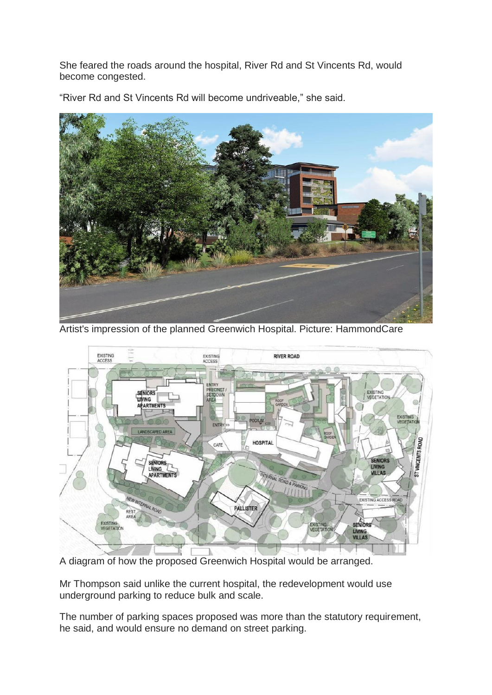She feared the roads around the hospital, River Rd and St Vincents Rd, would become congested.

"River Rd and St Vincents Rd will become undriveable," she said.



Artist's impression of the planned Greenwich Hospital. Picture: HammondCare



A diagram of how the proposed Greenwich Hospital would be arranged.

Mr Thompson said unlike the current hospital, the redevelopment would use underground parking to reduce bulk and scale.

The number of parking spaces proposed was more than the statutory requirement, he said, and would ensure no demand on street parking.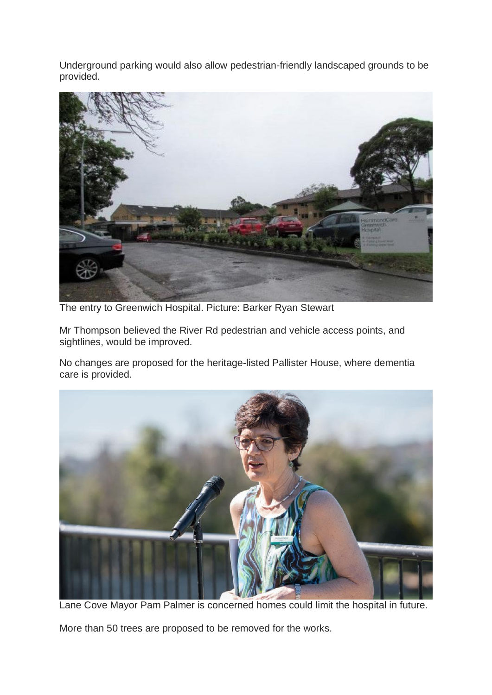Underground parking would also allow pedestrian-friendly landscaped grounds to be provided.



The entry to Greenwich Hospital. Picture: Barker Ryan Stewart

Mr Thompson believed the River Rd pedestrian and vehicle access points, and sightlines, would be improved.

No changes are proposed for the heritage-listed Pallister House, where dementia care is provided.



Lane Cove Mayor Pam Palmer is concerned homes could limit the hospital in future.

More than 50 trees are proposed to be removed for the works.